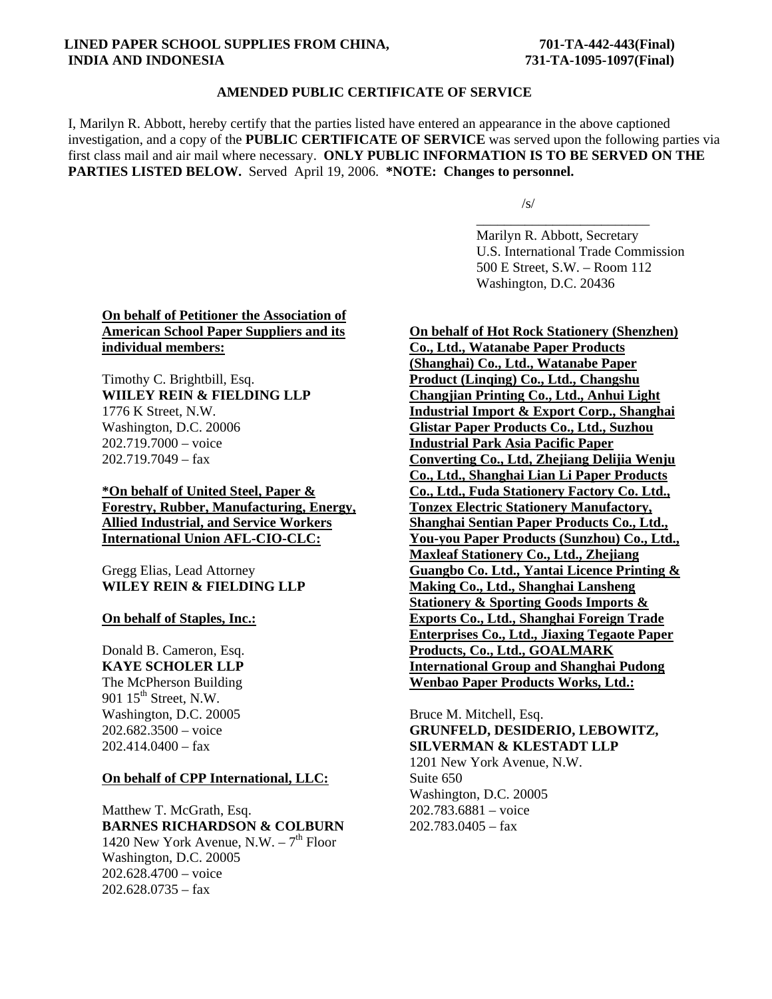#### **LINED PAPER SCHOOL SUPPLIES FROM CHINA,**  $701-TA-442-443(Final)$  **INDIA AND INDONESIA 731-TA-1095-1097(Final)**

#### **AMENDED PUBLIC CERTIFICATE OF SERVICE**

I, Marilyn R. Abbott, hereby certify that the parties listed have entered an appearance in the above captioned investigation, and a copy of the **PUBLIC CERTIFICATE OF SERVICE** was served upon the following parties via first class mail and air mail where necessary. **ONLY PUBLIC INFORMATION IS TO BE SERVED ON THE PARTIES LISTED BELOW.** Served April 19, 2006. **\*NOTE: Changes to personnel.**

 $\sqrt{s/2}$ 

 $\overline{\phantom{a}}$  , and the contract of the contract of the contract of the contract of the contract of the contract of the contract of the contract of the contract of the contract of the contract of the contract of the contrac Marilyn R. Abbott, Secretary U.S. International Trade Commission 500 E Street, S.W. – Room 112 Washington, D.C. 20436

# **On behalf of Petitioner the Association of American School Paper Suppliers and its individual members:**

Timothy C. Brightbill, Esq. **WIILEY REIN & FIELDING LLP** 1776 K Street, N.W. Washington, D.C. 20006 202.719.7000 – voice  $202.719.7049 - fax$ 

**\*On behalf of United Steel, Paper & Forestry, Rubber, Manufacturing, Energy, Allied Industrial, and Service Workers International Union AFL-CIO-CLC:**

Gregg Elias, Lead Attorney **WILEY REIN & FIELDING LLP**

**On behalf of Staples, Inc.:**

Donald B. Cameron, Esq. **KAYE SCHOLER LLP** The McPherson Building 901 15<sup>th</sup> Street, N.W. Washington, D.C. 20005 202.682.3500 – voice  $202.414.0400 - f$ ax

### **On behalf of CPP International, LLC:**

Matthew T. McGrath, Esq. **BARNES RICHARDSON & COLBURN** 1420 New York Avenue, N.W.  $-7<sup>th</sup>$  Floor Washington, D.C. 20005 202.628.4700 – voice  $202.628.0735 - fax$ 

**On behalf of Hot Rock Stationery (Shenzhen) Co., Ltd., Watanabe Paper Products (Shanghai) Co., Ltd., Watanabe Paper Product (Linqing) Co., Ltd., Changshu Changjian Printing Co., Ltd., Anhui Light Industrial Import & Export Corp., Shanghai Glistar Paper Products Co., Ltd., Suzhou Industrial Park Asia Pacific Paper Converting Co., Ltd, Zhejiang Delijia Wenju Co., Ltd., Shanghai Lian Li Paper Products Co., Ltd., Fuda Stationery Factory Co. Ltd., Tonzex Electric Stationery Manufactory, Shanghai Sentian Paper Products Co., Ltd., You-you Paper Products (Sunzhou) Co., Ltd., Maxleaf Stationery Co., Ltd., Zhejiang Guangbo Co. Ltd., Yantai Licence Printing & Making Co., Ltd., Shanghai Lansheng Stationery & Sporting Goods Imports & Exports Co., Ltd., Shanghai Foreign Trade Enterprises Co., Ltd., Jiaxing Tegaote Paper Products, Co., Ltd., GOALMARK International Group and Shanghai Pudong Wenbao Paper Products Works, Ltd.:**

Bruce M. Mitchell, Esq. **GRUNFELD, DESIDERIO, LEBOWITZ, SILVERMAN & KLESTADT LLP** 1201 New York Avenue, N.W. Suite 650 Washington, D.C. 20005 202.783.6881 – voice  $202.783.0405 - fax$